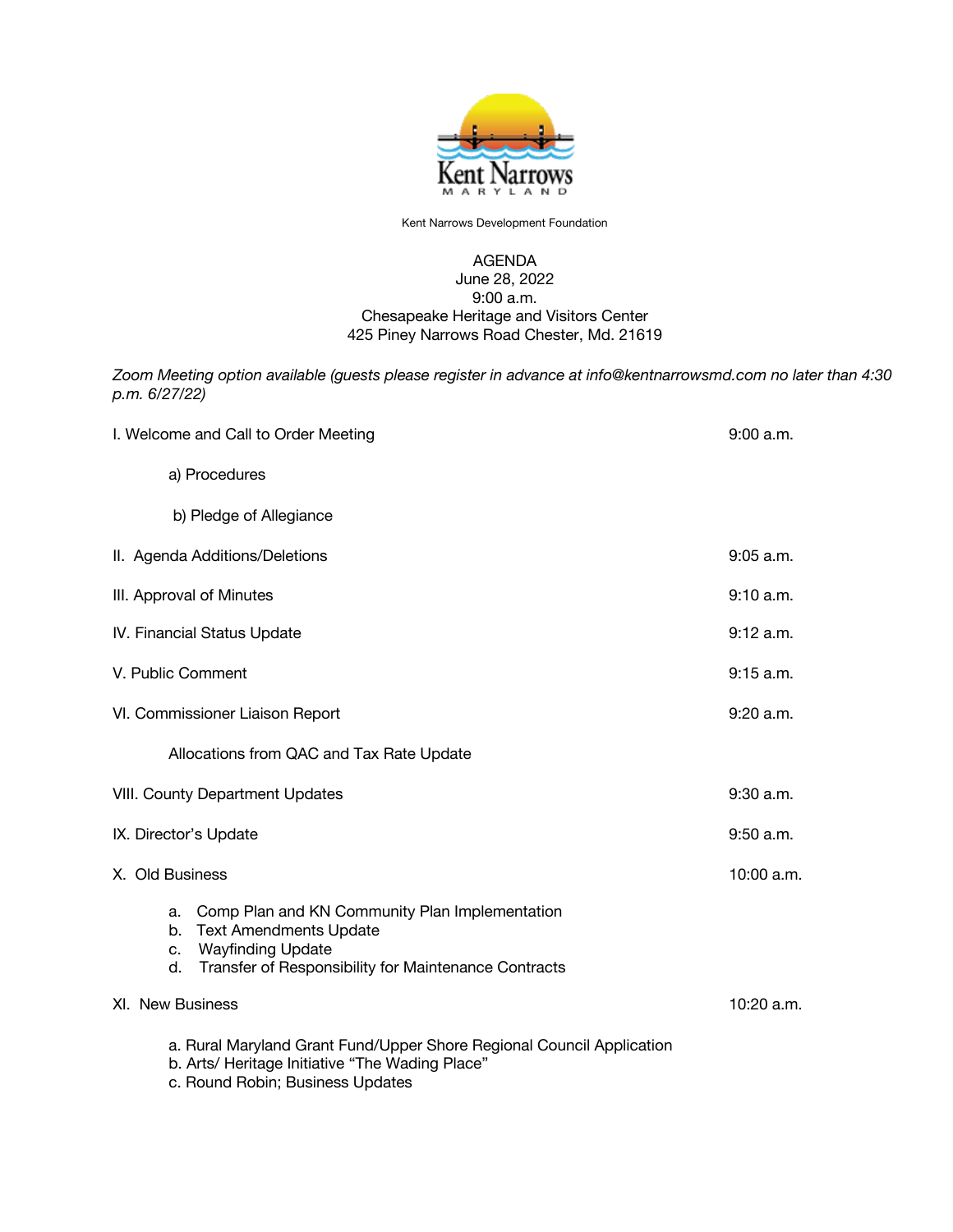

Kent Narrows Development Foundation

## AGENDA June 28, 2022 9:00 a.m. Chesapeake Heritage and Visitors Center 425 Piney Narrows Road Chester, Md. 21619

*Zoom Meeting option available (guests please register in advance at info@kentnarrowsmd.com no later than 4:30 p.m. 6/27/22)*

| I. Welcome and Call to Order Meeting                                                                                                                                                        | 9:00 a.m.   |
|---------------------------------------------------------------------------------------------------------------------------------------------------------------------------------------------|-------------|
| a) Procedures                                                                                                                                                                               |             |
| b) Pledge of Allegiance                                                                                                                                                                     |             |
| II. Agenda Additions/Deletions                                                                                                                                                              | $9:05$ a.m. |
| III. Approval of Minutes                                                                                                                                                                    | 9:10 a.m.   |
| IV. Financial Status Update                                                                                                                                                                 | 9:12 a.m.   |
| V. Public Comment                                                                                                                                                                           | 9:15 a.m.   |
| VI. Commissioner Liaison Report                                                                                                                                                             | 9:20 a.m.   |
| Allocations from QAC and Tax Rate Update                                                                                                                                                    |             |
| VIII. County Department Updates                                                                                                                                                             | 9:30 a.m.   |
| IX. Director's Update                                                                                                                                                                       | 9:50 a.m.   |
| X. Old Business                                                                                                                                                                             | 10:00 a.m.  |
| Comp Plan and KN Community Plan Implementation<br>a.<br><b>Text Amendments Update</b><br>b.<br><b>Wayfinding Update</b><br>c.<br>Transfer of Responsibility for Maintenance Contracts<br>d. |             |
| XI. New Business                                                                                                                                                                            | 10:20 a.m.  |
| a. Rural Maryland Grant Fund/Upper Shore Regional Council Application<br>b. Arts/ Heritage Initiative "The Wading Place"<br>c. Round Robin; Business Updates                                |             |